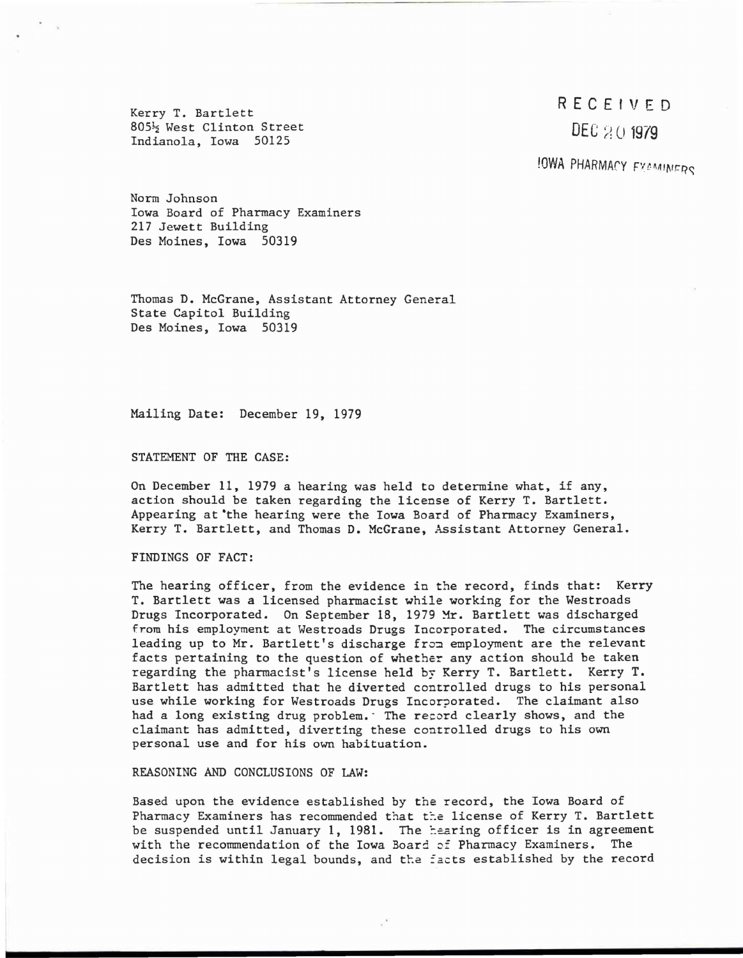External RECEIVED<br>
RECEIVED<br>
RECEIVED<br>
DEC<sub>20</sub>1979 805<sup>1</sup>/<sub>2</sub> West Clinton Street<br>Indianola, Iowa 50125

## !OWA PHARMACY *FYAMINERS*

Norm Johnson Iowa Board of Pharmacy Examiners 217 Jewett Building Des Moines, Iowa 50319

Thomas D. McGrane, Assistant Attorney General State Capitol Building Des Moines, Iowa 50319

Mailing Date: December 19, 1979

STATEMENT OF THE CASE:

On December 11, 1979 a hearing was held to determine what, if any, action should be taken regarding the license of Kerry T. Bartlett. Appearing at 'the hearing were the Iowa Board of Pharmacy Examiners, Kerry T. Bartlett, and Thomas D. McGrane, Assistant Attorney General.

FINDINGS OF FACT:

The hearing officer, from the evidence in the record, finds that: Kerry T. Bartlett was a licensed pharmacist while working for the Westroads Drugs Incorporated. On September 18, 1979 Mr. Bartlett was discharged from his employment at Westroads Drugs Incorporated. The circumstances leading up to Mr. Bartlett's discharge from employment are the relevant facts pertaining to the question of whether any action should be taken regarding the pharmacist's license held by Kerry T. Bartlett. Kerry T. Bartlett has admitted that he diverted controlled drugs to his personal use while working for Westroads Drugs Incorporated. The claimant also had a long existing drug problem. The record clearly shows, and the claimant has admitted, diverting these controlled drugs to his own personal use and for his own habituation.

REASONING AND CONCLUSIONS OF LAW:

Based upon the evidence established by the record, the Iowa Board of Pharmacy Examiners has recommended that the license of Kerry T. Bartlett be suspended until January 1, 1981. The hearing officer is in agreement with the recommendation of the Iowa Board of Pharmacy Examiners. The decision is within legal bounds, and the facts established by the record